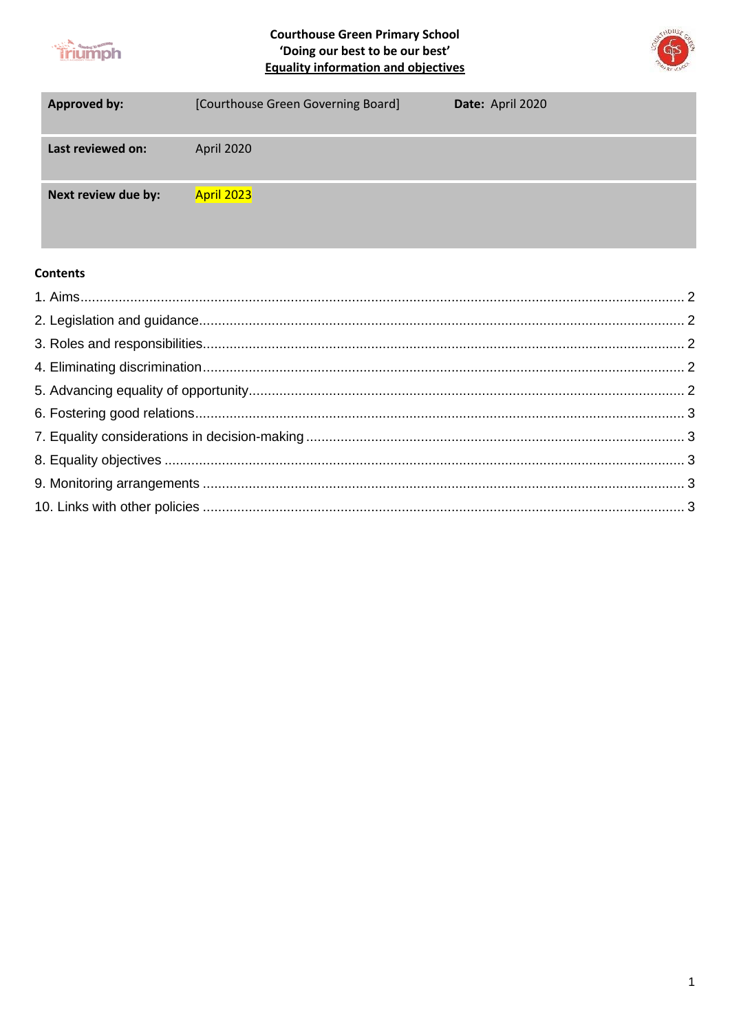

**Courthouse Green Primary School** 'Doing our best to be our best' **Equality information and objectives** 



| <b>Approved by:</b> | [Courthouse Green Governing Board] | Date: April 2020 |
|---------------------|------------------------------------|------------------|
| Last reviewed on:   | April 2020                         |                  |
| Next review due by: | April 2023                         |                  |

### **Contents**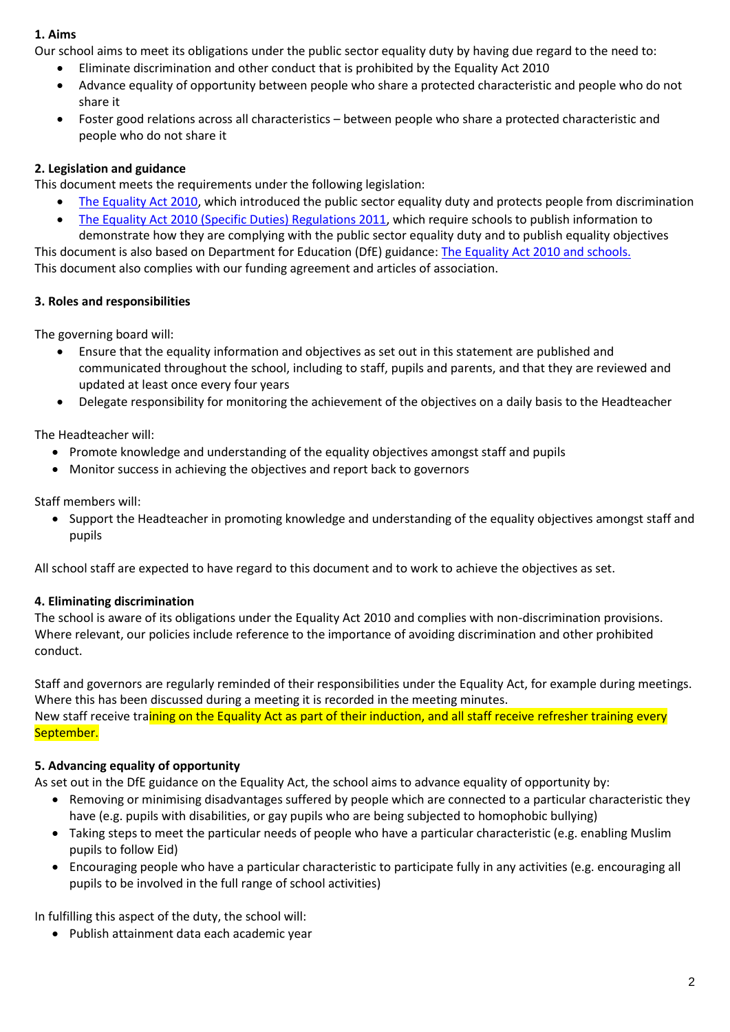### **1. Aims**

Our school aims to meet its obligations under the public sector equality duty by having due regard to the need to:

- Eliminate discrimination and other conduct that is prohibited by the Equality Act 2010
- Advance equality of opportunity between people who share a protected characteristic and people who do not share it
- Foster good relations across all characteristics between people who share a protected characteristic and people who do not share it

# **2. Legislation and guidance**

This document meets the requirements under the following legislation:

- [The Equality Act 2010,](http://www.legislation.gov.uk/ukpga/2010/15/contents) which introduced the public sector equality duty and protects people from discrimination
- [The Equality Act 2010 \(Specific Duties\) Regulations 2011,](http://www.legislation.gov.uk/uksi/2011/2260/contents/made) which require schools to publish information to demonstrate how they are complying with the public sector equality duty and to publish equality objectives

This document is also based on Department for Education (DfE) guidance: [The Equality Act 2010 and schools.](https://www.gov.uk/government/uploads/system/uploads/attachment_data/file/315587/Equality_Act_Advice_Final.pdf)  This document also complies with our funding agreement and articles of association.

## **3. Roles and responsibilities**

The governing board will:

- Ensure that the equality information and objectives as set out in this statement are published and communicated throughout the school, including to staff, pupils and parents, and that they are reviewed and updated at least once every four years
- Delegate responsibility for monitoring the achievement of the objectives on a daily basis to the Headteacher

The Headteacher will:

- Promote knowledge and understanding of the equality objectives amongst staff and pupils
- Monitor success in achieving the objectives and report back to governors

Staff members will:

• Support the Headteacher in promoting knowledge and understanding of the equality objectives amongst staff and pupils

All school staff are expected to have regard to this document and to work to achieve the objectives as set.

## **4. Eliminating discrimination**

The school is aware of its obligations under the Equality Act 2010 and complies with non-discrimination provisions. Where relevant, our policies include reference to the importance of avoiding discrimination and other prohibited conduct.

Staff and governors are regularly reminded of their responsibilities under the Equality Act, for example during meetings. Where this has been discussed during a meeting it is recorded in the meeting minutes. New staff receive training on the Equality Act as part of their induction, and all staff receive refresher training every September.

## **5. Advancing equality of opportunity**

As set out in the DfE guidance on the Equality Act, the school aims to advance equality of opportunity by:

- Removing or minimising disadvantages suffered by people which are connected to a particular characteristic they have (e.g. pupils with disabilities, or gay pupils who are being subjected to homophobic bullying)
- Taking steps to meet the particular needs of people who have a particular characteristic (e.g. enabling Muslim pupils to follow Eid)
- Encouraging people who have a particular characteristic to participate fully in any activities (e.g. encouraging all pupils to be involved in the full range of school activities)

In fulfilling this aspect of the duty, the school will:

• Publish attainment data each academic year